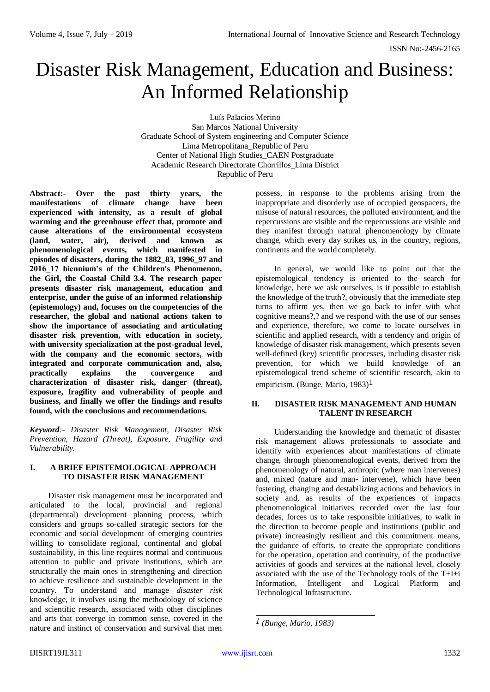# Disaster Risk Management, Education and Business: An Informed Relationship

Luís Palacios Merino San Marcos National University Graduate School of System engineering and Computer Science Lima Metropolitana\_Republic of Peru Center of National High Studies\_CAEN Postgraduate Academic Research Directorate Chorrillos\_Lima District Republic of Peru

**Abstract:- Over the past thirty years, the manifestations of climate change have been experienced with intensity, as a result of global warming and the greenhouse effect that, promote and cause alterations of the environmental ecosystem (land, water, air), derived and known as phenomenological events, which manifested in episodes of disasters, during the 1882\_83, 1996\_97 and 2016\_17 biennium's of the Children's Phenomenon, the Girl, the Coastal Child 3.4. The research paper presents disaster risk management, education and enterprise, under the guise of an informed relationship (epistemology) and, focuses on the competencies of the researcher, the global and national actions taken to show the importance of associating and articulating disaster risk prevention, with education in society, with university specialization at the post-gradual level, with the company and the economic sectors, with integrated and corporate communication and, also, practically explains the convergence and characterization of disaster risk, danger (threat), exposure, fragility and vulnerability of people and business, and finally we offer the findings and results found, with the conclusions and recommendations.**

*Keyword:- Disaster Risk Management, Disaster Risk Prevention, Hazard (Threat), Exposure, Fragility and Vulnerability.*

## **I. A BRIEF EPISTEMOLOGICAL APPROACH TO DISASTER RISK MANAGEMENT**

Disaster risk management must be incorporated and articulated to the local, provincial and regional (departmental) development planning process, which considers and groups so-called strategic sectors for the economic and social development of emerging countries willing to consolidate regional, continental and global sustainability, in this line requires normal and continuous attention to public and private institutions, which are structurally the main ones in strengthening and direction to achieve resilience and sustainable development in the country. To understand and manage *disaster risk*  knowledge, it involves using the methodology of science and scientific research, associated with other disciplines and arts that converge in common sense, covered in the nature and instinct of conservation and survival that men

possess, in response to the problems arising from the inappropriate and disorderly use of occupied geospacers, the misuse of natural resources, the polluted environment, and the repercussions are visible and the repercussions are visible and they manifest through natural phenomenology by climate change, which every day strikes us, in the country, regions, continents and the world completely.

In general, we would like to point out that the epistemological tendency is oriented to the search for knowledge, here we ask ourselves, is it possible to establish the knowledge of the truth?, obviously that the immediate step turns to affirm yes, then we go back to infer with what cognitive means?,? and we respond with the use of our senses and experience, therefore, we come to locate ourselves in scientific and applied research, with a tendency and origin of knowledge of disaster risk management, which presents seven well-defined (key) scientific processes, including disaster risk prevention, for which we build knowledge of an epistemological trend scheme of scientific research, akin to empiricism. (Bunge, Mario, 1983)<sup>1</sup>

### **II. DISASTER RISK MANAGEMENT AND HUMAN TALENT IN RESEARCH**

Understanding the knowledge and thematic of disaster risk management allows professionals to associate and identify with experiences about manifestations of climate change, through phenomenological events, derived from the phenomenology of natural, anthropic (where man intervenes) and, mixed (nature and man- intervene), which have been fostering, changing and destabilizing actions and behaviors in society and, as results of the experiences of impacts phenomenological initiatives recorded over the last four decades, forces us to take responsible initiatives, to walk in the direction to become people and institutions (public and private) increasingly resilient and this commitment means, the guidance of efforts, to create the appropriate conditions for the operation, operation and continuity, of the productive activities of goods and services at the national level, closely associated with the use of the Technology tools of the T+I+i Information, Intelligent and Logical Platform and Technological Infrastructure.

*<sup>1 (</sup>Bunge, Mario, 1983)*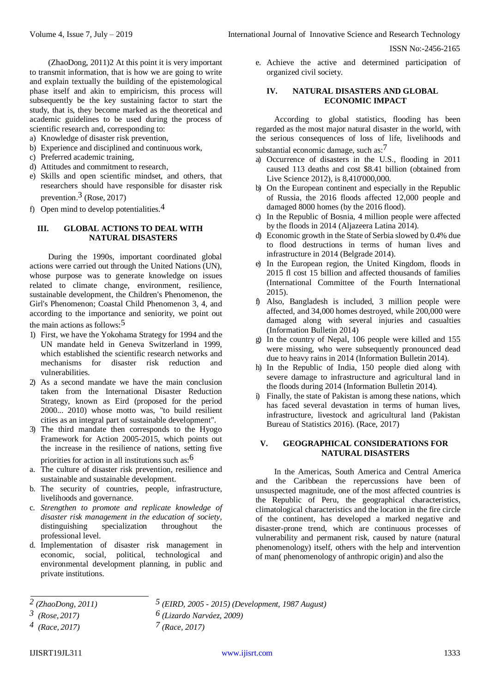(ZhaoDong, 2011)2 At this point it is very important to transmit information, that is how we are going to write and explain textually the building of the epistemological phase itself and akin to empiricism, this process will subsequently be the key sustaining factor to start the study, that is, they become marked as the theoretical and academic guidelines to be used during the process of scientific research and, corresponding to:

- a) Knowledge of disaster risk prevention,
- b) Experience and disciplined and continuous work,
- c) Preferred academic training,
- d) Attitudes and commitment to research,
- e) Skills and open scientific mindset, and others, that researchers should have responsible for disaster risk prevention.3 (Rose, 2017)
- f) Open mind to develop potentialities.4

# **III. GLOBAL ACTIONS TO DEAL WITH NATURAL DISASTERS**

During the 1990s, important coordinated global actions were carried out through the United Nations (UN), whose purpose was to generate knowledge on issues related to climate change, environment, resilience, sustainable development, the Children's Phenomenon, the Girl's Phenomenon; Coastal Child Phenomenon 3, 4, and according to the importance and seniority, we point out the main actions as follows: $5$ 

- 1) First, we have the Yokohama Strategy for 1994 and the UN mandate held in Geneva Switzerland in 1999, which established the scientific research networks and mechanisms for disaster risk reduction and vulnerabilities.
- 2) As a second mandate we have the main conclusion taken from the International Disaster Reduction Strategy, known as Eird (proposed for the period 2000... 2010) whose motto was, "to build resilient cities as an integral part of sustainable development".
- 3) The third mandate then corresponds to the Hyogo Framework for Action 2005-2015, which points out the increase in the resilience of nations, setting five priorities for action in all institutions such as: $6$
- a. The culture of disaster risk prevention, resilience and sustainable and sustainable development.
- b. The security of countries, people, infrastructure, livelihoods and governance.
- c. *Strengthen to promote and replicate knowledge of disaster risk management in the education of society,*  distinguishing specialization throughout the professional level.
- d. Implementation of disaster risk management in economic, social, political, technological and environmental development planning, in public and private institutions.

e. Achieve the active and determined participation of organized civil society.

# **IV. NATURAL DISASTERS AND GLOBAL ECONOMIC IMPACT**

According to global statistics, flooding has been regarded as the most major natural disaster in the world, with the serious consequences of loss of life, livelihoods and substantial economic damage, such as:7

- a) Occurrence of disasters in the U.S., flooding in 2011 caused 113 deaths and cost \$8.41 billion (obtained from Live Science 2012), is 8,410'000,000.
- b) On the European continent and especially in the Republic of Russia, the 2016 floods affected 12,000 people and damaged 8000 homes (by the 2016 flood).
- c) In the Republic of Bosnia, 4 million people were affected by the floods in 2014 (Aljazeera Latina 2014).
- d) Economic growth in the State of Serbia slowed by 0.4% due to flood destructions in terms of human lives and infrastructure in 2014 (Belgrade 2014).
- e) In the European region, the United Kingdom, floods in 2015 fl cost 15 billion and affected thousands of families (International Committee of the Fourth International 2015).
- f) Also, Bangladesh is included, 3 million people were affected, and 34,000 homes destroyed, while 200,000 were damaged along with several injuries and casualties (Information Bulletin 2014)
- g) In the country of Nepal, 106 people were killed and 155 were missing, who were subsequently pronounced dead due to heavy rains in 2014 (Information Bulletin 2014).
- h) In the Republic of India, 150 people died along with severe damage to infrastructure and agricultural land in the floods during 2014 (Information Bulletin 2014).
- i) Finally, the state of Pakistan is among these nations, which has faced several devastation in terms of human lives, infrastructure, livestock and agricultural land (Pakistan Bureau of Statistics 2016). (Race, 2017)

# **V. GEOGRAPHICAL CONSIDERATIONS FOR NATURAL DISASTERS**

In the Americas, South America and Central America and the Caribbean the repercussions have been of unsuspected magnitude, one of the most affected countries is the Republic of Peru, the geographical characteristics, climatological characteristics and the location in the fire circle of the continent, has developed a marked negative and disaster-prone trend, which are continuous processes of vulnerability and permanent risk, caused by nature (natural phenomenology) itself, others with the help and intervention of man( phenomenology of anthropic origin) and also the

*<sup>2 (</sup>ZhaoDong, 2011)*

*<sup>3 (</sup>Rose, 2017)*

*<sup>4 (</sup>Race, 2017)*

*<sup>5 (</sup>EIRD, 2005 - 2015) (Development, 1987 August)*

*<sup>6 (</sup>Lizardo Narváez, 2009)*

*<sup>7 (</sup>Race, 2017)*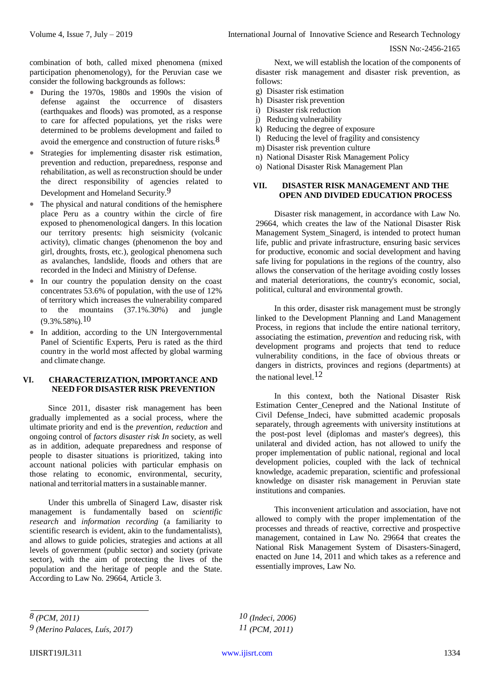combination of both, called mixed phenomena (mixed participation phenomenology), for the Peruvian case we consider the following backgrounds as follows:

- During the 1970s, 1980s and 1990s the vision of defense against the occurrence of disasters (earthquakes and floods) was promoted, as a response to care for affected populations, yet the risks were determined to be problems development and failed to avoid the emergence and construction of future risks.8
- Strategies for implementing disaster risk estimation, prevention and reduction, preparedness, response and rehabilitation, as well asreconstruction should be under the direct responsibility of agencies related to Development and Homeland Security.9
- The physical and natural conditions of the hemisphere place Peru as a country within the circle of fire exposed to phenomenological dangers. In this location our territory presents: high seismicity (volcanic activity), climatic changes (phenomenon the boy and girl, droughts, frosts, etc.), geological phenomena such as avalanches, landslide, floods and others that are recorded in the Indeci and Ministry of Defense.
- In our country the population density on the coast concentrates 53.6% of population, with the use of 12% of territory which increases the vulnerability compared to the mountains (37.1%.30%) and jungle  $(9.3\%58\%)$  10
- In addition, according to the UN Intergovernmental Panel of Scientific Experts, Peru is rated as the third country in the world most affected by global warming and climate change.

## **VI. CHARACTERIZATION, IMPORTANCE AND NEED FOR DISASTER RISK PREVENTION**

Since 2011, disaster risk management has been gradually implemented as a social process, where the ultimate priority and end is the *prevention, reduction* and ongoing control of *factors disaster risk In* society, as well as in addition, adequate preparedness and response of people to disaster situations is prioritized, taking into account national policies with particular emphasis on those relating to economic, environmental, security, national and territorial mattersin a sustainable manner.

Under this umbrella of Sinagerd Law, disaster risk management is fundamentally based on *scientific research* and *information recording* (a familiarity to scientific research is evident, akin to the fundamentalists), and allows to guide policies, strategies and actions at all levels of government (public sector) and society (private sector), with the aim of protecting the lives of the population and the heritage of people and the State. According to Law No. 29664, Article 3.

Next, we will establish the location of the components of disaster risk management and disaster risk prevention, as follows:

- g) Disaster risk estimation
- h) Disaster risk prevention
- i) Disaster risk reduction
- j) Reducing vulnerability
- k) Reducing the degree of exposure
- l) Reducing the level of fragility and consistency
- m) Disaster risk prevention culture
- n) National Disaster Risk Management Policy
- o) National Disaster Risk Management Plan

## **VII. DISASTER RISK MANAGEMENT AND THE OPEN AND DIVIDED EDUCATION PROCESS**

Disaster risk management, in accordance with Law No. 29664, which creates the law of the National Disaster Risk Management System Sinagerd, is intended to protect human life, public and private infrastructure, ensuring basic services for productive, economic and social development and having safe living for populations in the regions of the country, also allows the conservation of the heritage avoiding costly losses and material deteriorations, the country's economic, social, political, cultural and environmental growth.

In this order, disaster risk management must be strongly linked to the Development Planning and Land Management Process, in regions that include the entire national territory, associating the estimation, *prevention* and reducing risk, with development programs and projects that tend to reduce vulnerability conditions, in the face of obvious threats or dangers in districts, provinces and regions (departments) at the national level 12

In this context, both the National Disaster Risk Estimation Center\_Cenepred and the National Institute of Civil Defense\_Indeci, have submitted academic proposals separately, through agreements with university institutions at the post-post level (diplomas and master's degrees), this unilateral and divided action, has not allowed to unify the proper implementation of public national, regional and local development policies, coupled with the lack of technical knowledge, academic preparation, scientific and professional knowledge on disaster risk management in Peruvian state institutions and companies.

This inconvenient articulation and association, have not allowed to comply with the proper implementation of the processes and threads of reactive, corrective and prospective management, contained in Law No. 29664 that creates the National Risk Management System of Disasters-Sinagerd, enacted on June 14, 2011 and which takes as a reference and essentially improves, Law No.

*8 (PCM, 2011) 9 (Merino Palaces, Luís, 2017)* *10 (Indeci, 2006) 11 (PCM, 2011)*

IJISRT19JL311 [www.ijisrt.com](http://www.ijisrt.com/) 1334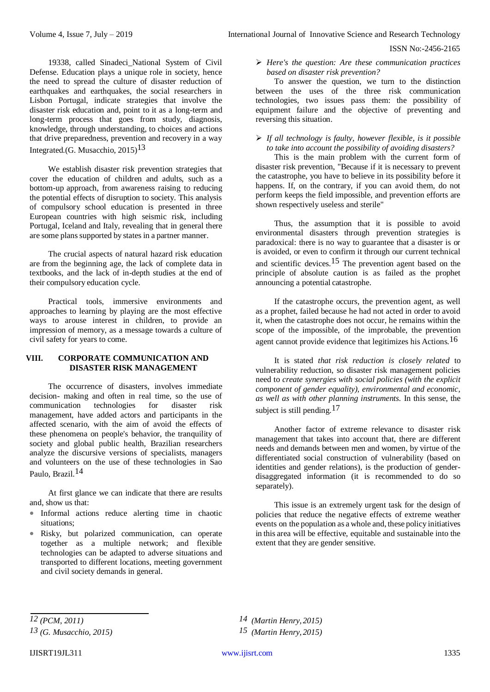19338, called Sinadeci\_National System of Civil Defense. Education plays a unique role in society, hence the need to spread the culture of disaster reduction of earthquakes and earthquakes, the social researchers in Lisbon Portugal, indicate strategies that involve the disaster risk education and, point to it as a long-term and long-term process that goes from study, diagnosis, knowledge, through understanding, to choices and actions that drive preparedness, prevention and recovery in a way Integrated.(G. Musacchio, 2015) 13

We establish disaster risk prevention strategies that cover the education of children and adults, such as a bottom-up approach, from awareness raising to reducing the potential effects of disruption to society. This analysis of compulsory school education is presented in three European countries with high seismic risk, including Portugal, Iceland and Italy, revealing that in general there are some plans supported by states in a partner manner.

The crucial aspects of natural hazard risk education are from the beginning age, the lack of complete data in textbooks, and the lack of in-depth studies at the end of their compulsory education cycle.

Practical tools, immersive environments and approaches to learning by playing are the most effective ways to arouse interest in children, to provide an impression of memory, as a message towards a culture of civil safety for years to come.

#### **VIII. CORPORATE COMMUNICATION AND DISASTER RISK MANAGEMENT**

The occurrence of disasters, involves immediate decision- making and often in real time, so the use of communication technologies for disaster risk management, have added actors and participants in the affected scenario, with the aim of avoid the effects of these phenomena on people's behavior, the tranquility of society and global public health, Brazilian researchers analyze the discursive versions of specialists, managers and volunteers on the use of these technologies in Sao Paulo, Brazil.14

At first glance we can indicate that there are results and, show us that:

- Informal actions reduce alerting time in chaotic situations;
- Risky, but polarized communication, can operate together as a multiple network; and flexible technologies can be adapted to adverse situations and transported to different locations, meeting government and civil society demands in general.

 *Here's the question: Are these communication practices based on disaster risk prevention?*

To answer the question, we turn to the distinction between the uses of the three risk communication technologies, two issues pass them: the possibility of equipment failure and the objective of preventing and reversing this situation.

# *If all technology is faulty, however flexible, is it possible to take into account the possibility of avoiding disasters?*

This is the main problem with the current form of disaster risk prevention, "Because if it is necessary to prevent the catastrophe, you have to believe in its possibility before it happens. If, on the contrary, if you can avoid them, do not perform keeps the field impossible, and prevention efforts are shown respectively useless and sterile"

Thus, the assumption that it is possible to avoid environmental disasters through prevention strategies is paradoxical: there is no way to guarantee that a disaster is or is avoided, or even to confirm it through our current technical and scientific devices.<sup>15</sup> The prevention agent based on the principle of absolute caution is as failed as the prophet announcing a potential catastrophe.

If the catastrophe occurs, the prevention agent, as well as a prophet, failed because he had not acted in order to avoid it, when the catastrophe does not occur, he remains within the scope of the impossible, of the improbable, the prevention agent cannot provide evidence that legitimizes his Actions.16

It is stated *that risk reduction is closely related* to vulnerability reduction, so disaster risk management policies need to *create synergies with social policies (with the explicit component of gender equality), environmental and economic, as well as with other planning instruments.* In this sense, the subject is still pending.<sup>17</sup>

Another factor of extreme relevance to disaster risk management that takes into account that, there are different needs and demands between men and women, by virtue of the differentiated social construction of vulnerability (based on identities and gender relations), is the production of genderdisaggregated information (it is recommended to do so separately).

This issue is an extremely urgent task for the design of policies that reduce the negative effects of extreme weather events on the population as a whole and, these policy initiatives in this area will be effective, equitable and sustainable into the extent that they are gender sensitive.

*12 (PCM, 2011) 13 (G. Musacchio, 2015)*

*14 (Martin Henry, 2015) 15 (Martin Henry, 2015)*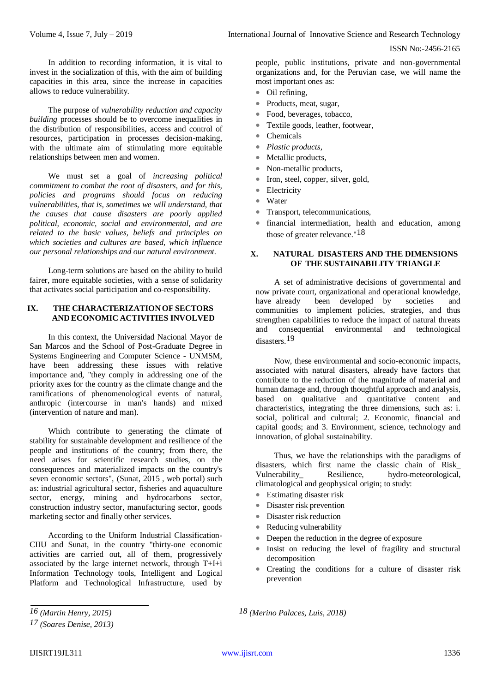In addition to recording information, it is vital to invest in the socialization of this, with the aim of building capacities in this area, since the increase in capacities allows to reduce vulnerability.

The purpose of *vulnerability reduction and capacity building* processes should be to overcome inequalities in the distribution of responsibilities, access and control of resources, participation in processes decision-making, with the ultimate aim of stimulating more equitable relationships between men and women.

We must set a goal of *increasing political commitment to combat the root of disasters, and for this, policies and programs should focus on reducing vulnerabilities, that is, sometimes we will understand, that the causes that cause disasters are poorly applied political, economic, social and environmental, and are related to the basic values, beliefs and principles on which societies and cultures are based, which influence our personal relationships and our natural environment.*

Long-term solutions are based on the ability to build fairer, more equitable societies, with a sense of solidarity that activates social participation and co-responsibility.

# **IX. THE CHARACTERIZATIONOF SECTORS AND ECONOMIC ACTIVITIES INVOLVED**

In this context, the Universidad Nacional Mayor de San Marcos and the School of Post-Graduate Degree in Systems Engineering and Computer Science - UNMSM, have been addressing these issues with relative importance and, "they comply in addressing one of the priority axes for the country as the climate change and the ramifications of phenomenological events of natural, anthropic (intercourse in man's hands) and mixed (intervention of nature and man).

Which contribute to generating the climate of stability for sustainable development and resilience of the people and institutions of the country; from there, the need arises for scientific research studies, on the consequences and materialized impacts on the country's seven economic sectors", (Sunat, 2015 , web portal) such as: industrial agricultural sector, fisheries and aquaculture sector, energy, mining and hydrocarbons sector, construction industry sector, manufacturing sector, goods marketing sector and finally other services.

According to the Uniform Industrial Classification-CIIU and Sunat, in the country "thirty-one economic activities are carried out, all of them, progressively associated by the large internet network, through  $T+I+i$ Information Technology tools, Intelligent and Logical Platform and Technological Infrastructure, used by

people, public institutions, private and non-governmental organizations and, for the Peruvian case, we will name the most important ones as:

- Oil refining,
- Products, meat, sugar,
- Food, beverages, tobacco,
- Textile goods, leather, footwear,
- Chemicals
- *Plastic products,*
- Metallic products,
- Non-metallic products,
- Iron, steel, copper, silver, gold,
- Electricity
- Water
- Transport, telecommunications,
- financial intermediation, health and education, among those of greater relevance."18

# **X. NATURAL DISASTERS AND THE DIMENSIONS OF THE SUSTAINABILITY TRIANGLE**

A set of administrative decisions of governmental and now private court, organizational and operational knowledge, have already been developed by societies and communities to implement policies, strategies, and thus strengthen capabilities to reduce the impact of natural threats and consequential environmental and technological disasters.19

Now, these environmental and socio-economic impacts, associated with natural disasters, already have factors that contribute to the reduction of the magnitude of material and human damage and, through thoughtful approach and analysis, based on qualitative and quantitative content and characteristics, integrating the three dimensions, such as: i. social, political and cultural; 2. Economic, financial and capital goods; and 3. Environment, science, technology and innovation, of global sustainability.

Thus, we have the relationships with the paradigms of disasters, which first name the classic chain of Risk\_<br>Vulnerability Resilience. hydro-meteorological. Resilience, hydro-meteorological, climatological and geophysical origin; to study:

- Estimating disaster risk
- Disaster risk prevention
- Disaster risk reduction
- Reducing vulnerability

*18 (Merino Palaces, Luis, 2018)*

- Deepen the reduction in the degree of exposure
- Insist on reducing the level of fragility and structural decomposition
- Creating the conditions for a culture of disaster risk prevention

*16 (Martin Henry, 2015)*

*<sup>17 (</sup>Soares Denise, 2013)*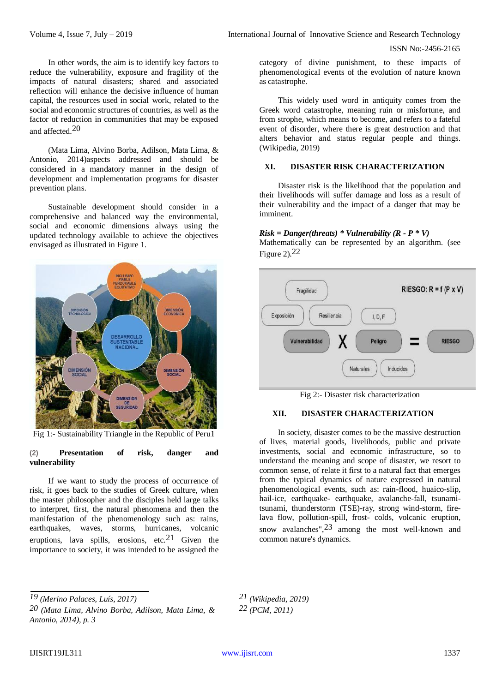In other words, the aim is to identify key factors to reduce the vulnerability, exposure and fragility of the impacts of natural disasters; shared and associated reflection will enhance the decisive influence of human capital, the resources used in social work, related to the social and economic structures of countries, as well as the factor of reduction in communities that may be exposed and affected.20

(Mata Lima, Alvino Borba, Adilson, Mata Lima, & Antonio, 2014)aspects addressed and should be considered in a mandatory manner in the design of development and implementation programs for disaster prevention plans.

Sustainable development should consider in a comprehensive and balanced way the environmental, social and economic dimensions always using the updated technology available to achieve the objectives envisaged as illustrated in Figure 1.



Fig 1:- Sustainability Triangle in the Republic of Peru1

### **(2) Presentation of risk, danger and vulnerability**

If we want to study the process of occurrence of risk, it goes back to the studies of Greek culture, when the master philosopher and the disciples held large talks to interpret, first, the natural phenomena and then the manifestation of the phenomenology such as: rains, earthquakes, waves, storms, hurricanes, volcanic eruptions, lava spills, erosions, etc.21 Given the importance to society, it was intended to be assigned the

category of divine punishment, to these impacts of phenomenological events of the evolution of nature known as catastrophe.

This widely used word in antiquity comes from the Greek word catastrophe, meaning ruin or misfortune, and from strophe, which means to become, and refers to a fateful event of disorder, where there is great destruction and that alters behavior and status regular people and things. (Wikipedia, 2019)

# **XI. DISASTER RISK CHARACTERIZATION**

Disaster risk is the likelihood that the population and their livelihoods will suffer damage and loss as a result of their vulnerability and the impact of a danger that may be imminent.

## *Risk = Danger(threats) \* Vulnerability (R - P \* V)*

Mathematically can be represented by an algorithm. (see Figure  $2$ ).<sup>22</sup>



Fig 2:- Disaster risk characterization

## **XII. DISASTER CHARACTERIZATION**

In society, disaster comes to be the massive destruction of lives, material goods, livelihoods, public and private investments, social and economic infrastructure, so to understand the meaning and scope of disaster, we resort to common sense, of relate it first to a natural fact that emerges from the typical dynamics of nature expressed in natural phenomenological events, such as: rain-flood, huaico-slip, hail-ice, earthquake- earthquake, avalanche-fall, tsunamitsunami, thunderstorm (TSE)-ray, strong wind-storm, firelava flow, pollution-spill, frost- colds, volcanic eruption, snow avalanches",23 among the most well-known and common nature's dynamics.

*19 (Merino Palaces, Luís, 2017)*

*20 (Mata Lima, Alvino Borba, Adilson, Mata Lima, & Antonio, 2014), p. 3*

*21 (Wikipedia, 2019) 22 (PCM, 2011)*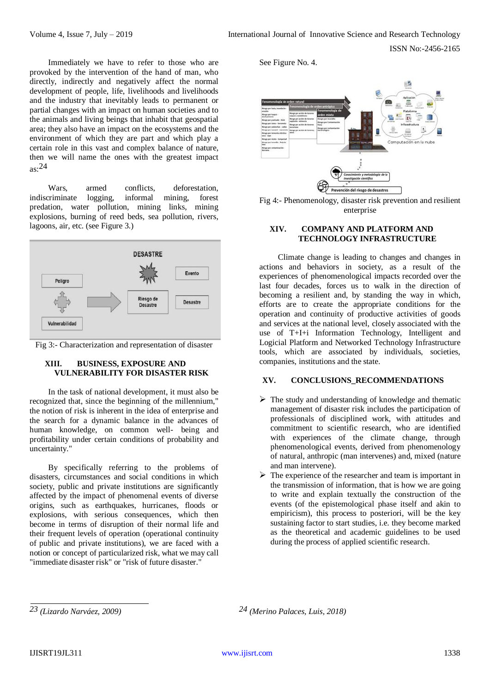Immediately we have to refer to those who are provoked by the intervention of the hand of man, who directly, indirectly and negatively affect the normal development of people, life, livelihoods and livelihoods and the industry that inevitably leads to permanent or partial changes with an impact on human societies and to the animals and living beings that inhabit that geospatial area; they also have an impact on the ecosystems and the environment of which they are part and which play a certain role in this vast and complex balance of nature, then we will name the ones with the greatest impact  $as: 24$ 

Wars, armed conflicts, deforestation, indiscriminate logging, informal mining, forest predation, water pollution, mining links, mining explosions, burning of reed beds, sea pollution, rivers, lagoons, air, etc. (see Figure 3.)



Fig 3:- Characterization and representation of disaster

## **XIII. BUSINESS, EXPOSURE AND VULNERABILITY FOR DISASTER RISK**

In the task of national development, it must also be recognized that, since the beginning of the millennium," the notion of risk is inherent in the idea of enterprise and the search for a dynamic balance in the advances of human knowledge, on common well- being and profitability under certain conditions of probability and uncertainty."

By specifically referring to the problems of disasters, circumstances and social conditions in which society, public and private institutions are significantly affected by the impact of phenomenal events of diverse origins, such as earthquakes, hurricanes, floods or explosions, with serious consequences, which then become in terms of disruption of their normal life and their frequent levels of operation (operational continuity of public and private institutions), we are faced with a notion or concept of particularized risk, what we may call "immediate disaster risk" or "risk of future disaster."

See Figure No. 4.



Fig 4:- Phenomenology, disaster risk prevention and resilient enterprise

# **XIV. COMPANY AND PLATFORM AND TECHNOLOGY INFRASTRUCTURE**

Climate change is leading to changes and changes in actions and behaviors in society, as a result of the experiences of phenomenological impacts recorded over the last four decades, forces us to walk in the direction of becoming a resilient and, by standing the way in which, efforts are to create the appropriate conditions for the operation and continuity of productive activities of goods and services at the national level, closely associated with the use of T+I+i Information Technology, Intelligent and Logicial Platform and Networked Technology Infrastructure tools, which are associated by individuals, societies, companies, institutions and the state.

## **XV. CONCLUSIONS\_RECOMMENDATIONS**

- $\triangleright$  The study and understanding of knowledge and thematic management of disaster risk includes the participation of professionals of disciplined work, with attitudes and commitment to scientific research, who are identified with experiences of the climate change, through phenomenological events, derived from phenomenology of natural, anthropic (man intervenes) and, mixed (nature and man intervene).
- $\triangleright$  The experience of the researcher and team is important in the transmission of information, that is how we are going to write and explain textually the construction of the events (of the epistemological phase itself and akin to empiricism), this process to posteriori, will be the key sustaining factor to start studies, i.e. they become marked as the theoretical and academic guidelines to be used during the process of applied scientific research.

*23 (Lizardo Narváez, 2009) 24 (Merino Palaces, Luis, 2018)*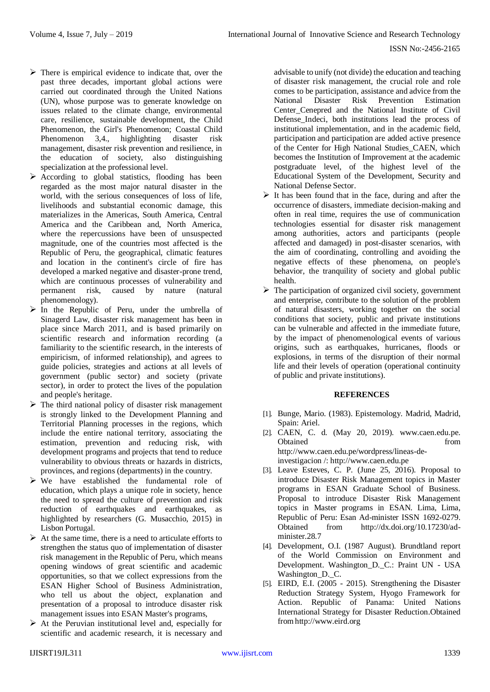- $\triangleright$  There is empirical evidence to indicate that, over the past three decades, important global actions were carried out coordinated through the United Nations (UN), whose purpose was to generate knowledge on issues related to the climate change, environmental care, resilience, sustainable development, the Child Phenomenon, the Girl's Phenomenon; Coastal Child Phenomenon 3,4., highlighting disaster risk management, disaster risk prevention and resilience, in the education of society, also distinguishing specialization at the professional level.
- $\triangleright$  According to global statistics, flooding has been regarded as the most major natural disaster in the world, with the serious consequences of loss of life, livelihoods and substantial economic damage, this materializes in the Americas, South America, Central America and the Caribbean and, North America, where the repercussions have been of unsuspected magnitude, one of the countries most affected is the Republic of Peru, the geographical, climatic features and location in the continent's circle of fire has developed a marked negative and disaster-prone trend, which are continuous processes of vulnerability and permanent risk, caused by nature (natural phenomenology).
- $\triangleright$  In the Republic of Peru, under the umbrella of Sinagerd Law, disaster risk management has been in place since March 2011, and is based primarily on scientific research and information recording (a familiarity to the scientific research, in the interests of empiricism, of informed relationship), and agrees to guide policies, strategies and actions at all levels of government (public sector) and society (private sector), in order to protect the lives of the population and people's heritage.
- $\triangleright$  The third national policy of disaster risk management is strongly linked to the Development Planning and Territorial Planning processes in the regions, which include the entire national territory, associating the estimation, prevention and reducing risk, with development programs and projects that tend to reduce vulnerability to obvious threats or hazards in districts, provinces, and regions (departments) in the country.
- $\triangleright$  We have established the fundamental role of education, which plays a unique role in society, hence the need to spread the culture of prevention and risk reduction of earthquakes and earthquakes, as highlighted by researchers (G. Musacchio, 2015) in Lisbon Portugal.
- $\triangleright$  At the same time, there is a need to articulate efforts to strengthen the status quo of implementation of disaster risk management in the Republic of Peru, which means opening windows of great scientific and academic opportunities, so that we collect expressions from the ESAN Higher School of Business Administration, who tell us about the object, explanation and presentation of a proposal to introduce disaster risk management issues into ESAN Master's programs,
- $\triangleright$  At the Peruvian institutional level and, especially for scientific and academic research, it is necessary and

advisable to unify (not divide) the education and teaching of disaster risk management, the crucial role and role comes to be participation, assistance and advice from the National Disaster Risk Prevention Estimation Center\_Cenepred and the National Institute of Civil Defense\_Indeci, both institutions lead the process of institutional implementation, and in the academic field, participation and participation are added active presence of the Center for High National Studies\_CAEN, which becomes the Institution of Improvement at the academic postgraduate level, of the highest level of the Educational System of the Development, Security and National Defense Sector.

- $\triangleright$  It has been found that in the face, during and after the occurrence of disasters, immediate decision-making and often in real time, requires the use of communication technologies essential for disaster risk management among authorities, actors and participants (people affected and damaged) in post-disaster scenarios, with the aim of coordinating, controlling and avoiding the negative effects of these phenomena, on people's behavior, the tranquility of society and global public health.
- $\triangleright$  The participation of organized civil society, government and enterprise, contribute to the solution of the problem of natural disasters, working together on the social conditions that society, public and private institutions can be vulnerable and affected in the immediate future, by the impact of phenomenological events of various origins, such as earthquakes, hurricanes, floods or explosions, in terms of the disruption of their normal life and their levels of operation (operational continuity of public and private institutions).

## **REFERENCES**

- [1]. Bunge, Mario. (1983). Epistemology. Madrid, Madrid, Spain: Ariel.
- [2]. CAEN, C. d. (May 20, 2019). [www.caen.edu.pe.](http://www.caen.edu.pe/)  Obtained from from  $\sim$ [http://www.caen.edu.pe/wordpress/lineas-de](http://www.caen.edu.pe/wordpress/lineas-de-investigacion)[investigacion](http://www.caen.edu.pe/wordpress/lineas-de-investigacion) /: http://www.caen.edu.pe
- [3]. Leave Esteves, C. P. (June 25, 2016). Proposal to introduce Disaster Risk Management topics in Master programs in ESAN Graduate School of Business. Proposal to introduce Disaster Risk Management topics in Master programs in ESAN. Lima, Lima, Republic of Peru: Esan Ad-minister ISSN 1692-0279. Obtained from [http://dx.doi.org/10.17230/ad](http://dx.doi.org/10.17230/ad-)minister.28.7
- [4]. Development, O.I. (1987 August). Brundtland report of the World Commission on Environment and Development. Washington\_D.\_C.: Praint UN - USA Washington D. C.
- [5]. EIRD, E.I. (2005 2015). Strengthening the Disaster Reduction Strategy System, Hyogo Framework for Action. Republic of Panama: United Nations International Strategy for Disaster Reduction.Obtained fro[mhttp://www.eird.org](http://www.eird.org/)